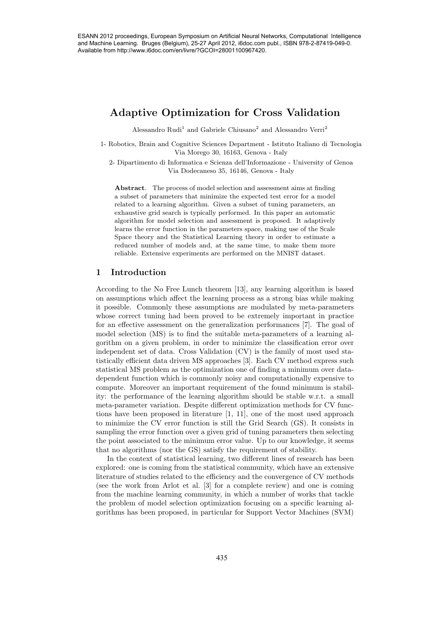# Adaptive Optimization for Cross Validation

Alessandro Rudi<sup>1</sup> and Gabriele Chiusano<sup>2</sup> and Alessandro Verri<sup>2</sup>

1- Robotics, Brain and Cognitive Sciences Department - Istituto Italiano di Tecnologia Via Morego 30, 16163, Genova - Italy

2- Dipartimento di Informatica e Scienza dell'Informazione - University of Genoa Via Dodecaneso 35, 16146, Genova - Italy

Abstract. The process of model selection and assessment aims at finding a subset of parameters that minimize the expected test error for a model related to a learning algorithm. Given a subset of tuning parameters, an exhaustive grid search is typically performed. In this paper an automatic algorithm for model selection and assessment is proposed. It adaptively learns the error function in the parameters space, making use of the Scale Space theory and the Statistical Learning theory in order to estimate a reduced number of models and, at the same time, to make them more reliable. Extensive experiments are performed on the MNIST dataset.

# 1 Introduction

According to the No Free Lunch theorem [13], any learning algorithm is based on assumptions which affect the learning process as a strong bias while making it possible. Commonly these assumptions are modulated by meta-parameters whose correct tuning had been proved to be extremely important in practice for an effective assessment on the generalization performances [7]. The goal of model selection (MS) is to find the suitable meta-parameters of a learning algorithm on a given problem, in order to minimize the classification error over independent set of data. Cross Validation (CV) is the family of most used statistically efficient data driven MS approaches [3]. Each CV method express such statistical MS problem as the optimization one of finding a minimum over datadependent function which is commonly noisy and computationally expensive to compute. Moreover an important requirement of the found minimum is stability: the performance of the learning algorithm should be stable w.r.t. a small meta-parameter variation. Despite different optimization methods for CV functions have been proposed in literature [1, 11], one of the most used approach to minimize the CV error function is still the Grid Search (GS). It consists in sampling the error function over a given grid of tuning parameters then selecting the point associated to the minimum error value. Up to our knowledge, it seems that no algorithms (nor the GS) satisfy the requirement of stability. 4358 ESAN 2012 proceedings, European Symposium on Artificial Neural Neural Networks, Computational Networks, Computational Neural Networks, Computational Intelligence (Neural Networks) and Networks (Networks) And  $V$  is b

In the context of statistical learning, two different lines of research has been explored: one is coming from the statistical community, which have an extensive literature of studies related to the efficiency and the convergence of CV methods (see the work from Arlot et al. [3] for a complete review) and one is coming from the machine learning community, in which a number of works that tackle the problem of model selection optimization focusing on a specific learning algorithms has been proposed, in particular for Support Vector Machines (SVM)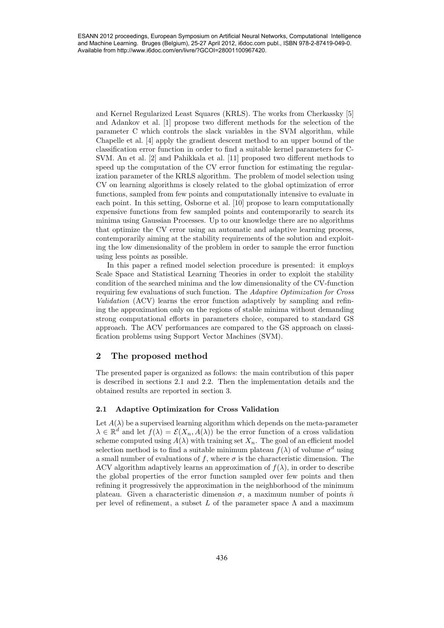and Kernel Regularized Least Squares (KRLS). The works from Cherkassky [5] and Adankov et al. [1] propose two different methods for the selection of the parameter C which controls the slack variables in the SVM algorithm, while Chapelle et al. [4] apply the gradient descent method to an upper bound of the classification error function in order to find a suitable kernel parameters for C-SVM. An et al. [2] and Pahikkala et al. [11] proposed two different methods to speed up the computation of the CV error function for estimating the regularization parameter of the KRLS algorithm. The problem of model selection using CV on learning algorithms is closely related to the global optimization of error functions, sampled from few points and computationally intensive to evaluate in each point. In this setting, Osborne et al. [10] propose to learn computationally expensive functions from few sampled points and contemporarily to search its minima using Gaussian Processes. Up to our knowledge there are no algorithms that optimize the CV error using an automatic and adaptive learning process, contemporarily aiming at the stability requirements of the solution and exploiting the low dimensionality of the problem in order to sample the error function using less points as possible. 436 ESANN 2012 proceedings, European Symposium on Artificial Neural Networks, Computational Intelligence

In this paper a refined model selection procedure is presented: it employs Scale Space and Statistical Learning Theories in order to exploit the stability condition of the searched minima and the low dimensionality of the CV-function requiring few evaluations of such function. The Adaptive Optimization for Cross Validation (ACV) learns the error function adaptively by sampling and refining the approximation only on the regions of stable minima without demanding strong computational efforts in parameters choice, compared to standard GS approach. The ACV performances are compared to the GS approach on classification problems using Support Vector Machines (SVM).

# 2 The proposed method

The presented paper is organized as follows: the main contribution of this paper is described in sections 2.1 and 2.2. Then the implementation details and the obtained results are reported in section 3.

#### 2.1 Adaptive Optimization for Cross Validation

Let  $A(\lambda)$  be a supervised learning algorithm which depends on the meta-parameter  $\lambda \in \mathbb{R}^d$  and let  $f(\lambda) = \mathcal{E}(X_n, A(\lambda))$  be the error function of a cross validation scheme computed using  $A(\lambda)$  with training set  $X_n$ . The goal of an efficient model selection method is to find a suitable minimum plateau  $f(\lambda)$  of volume  $\sigma^d$  using a small number of evaluations of f, where  $\sigma$  is the characteristic dimension. The ACV algorithm adaptively learns an approximation of  $f(\lambda)$ , in order to describe the global properties of the error function sampled over few points and then refining it progressively the approximation in the neighborhood of the minimum plateau. Given a characteristic dimension  $\sigma$ , a maximum number of points  $\hat{n}$ per level of refinement, a subset L of the parameter space  $\Lambda$  and a maximum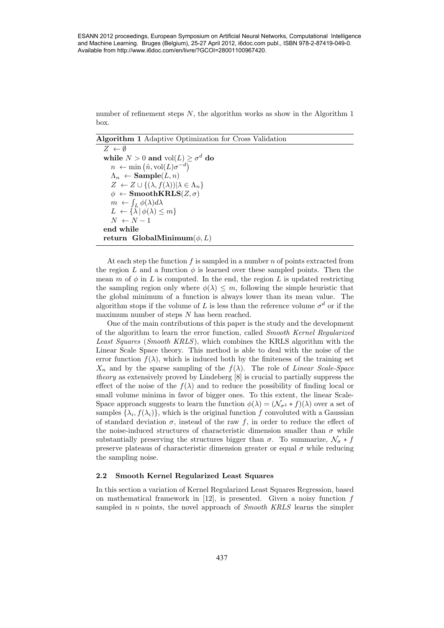number of refinement steps  $N$ , the algorithm works as show in the Algorithm 1 box.

Algorithm 1 Adaptive Optimization for Cross Validation

 $Z \leftarrow \emptyset$ while  $N > 0$  and  $\mathrm{vol}(L) \geq \sigma^d$  do  $n \leftarrow \min(\hat{n}, \text{vol}(L)\sigma^{-d})$  $\Lambda_n \leftarrow$ **Sample** $(L, n)$  $Z \leftarrow Z \cup \{(\lambda, f(\lambda)) | \lambda \in \Lambda_n \}$  $\phi \leftarrow \textbf{SmoothKRLS}(Z, \sigma)$  $m \leftarrow \int_L \phi(\lambda) d\lambda$  $L \leftarrow {\lambda | \phi(\lambda) \leq m}$  $N \leftarrow N - 1$ end while return GlobalMinimum $(\phi, L)$ 

At each step the function f is sampled in a number  $n$  of points extracted from the region L and a function  $\phi$  is learned over these sampled points. Then the mean m of  $\phi$  in L is computed. In the end, the region L is updated restricting the sampling region only where  $\phi(\lambda) \leq m$ , following the simple heuristic that the global minimum of a function is always lower than its mean value. The algorithm stops if the volume of L is less than the reference volume  $\sigma^d$  or if the maximum number of steps  $N$  has been reached.

One of the main contributions of this paper is the study and the development of the algorithm to learn the error function, called Smooth Kernel Regularized Least Squares (Smooth KRLS), which combines the KRLS algorithm with the Linear Scale Space theory. This method is able to deal with the noise of the error function  $f(\lambda)$ , which is induced both by the finiteness of the training set  $X_n$  and by the sparse sampling of the  $f(\lambda)$ . The role of Linear Scale-Space theory as extensively proved by Lindeberg [8] is crucial to partially suppress the effect of the noise of the  $f(\lambda)$  and to reduce the possibility of finding local or small volume minima in favor of bigger ones. To this extent, the linear Scale-Space approach suggests to learn the function  $\phi(\lambda) = (\mathcal{N}_{\sigma^2} * f)(\lambda)$  over a set of samples  $\{\lambda_i, f(\lambda_i)\}\$ , which is the original function f convoluted with a Gaussian of standard deviation  $\sigma$ , instead of the raw f, in order to reduce the effect of the noise-induced structures of characteristic dimension smaller than  $\sigma$  while substantially preserving the structures bigger than  $\sigma$ . To summarize,  $\mathcal{N}_{\sigma} * f$ preserve plateaus of characteristic dimension greater or equal  $\sigma$  while reducing the sampling noise. ESAN 2012 proceedings, European Symposium on Artificial Neural Networks, Computational Networks, Computational Networks, Computational Networks, Computational Networks, Computational Networks, Computational Networks, Comp

#### 2.2 Smooth Kernel Regularized Least Squares

In this section a variation of Kernel Regularized Least Squares Regression, based on mathematical framework in  $[12]$ , is presented. Given a noisy function f sampled in *n* points, the novel approach of *Smooth KRLS* learns the simpler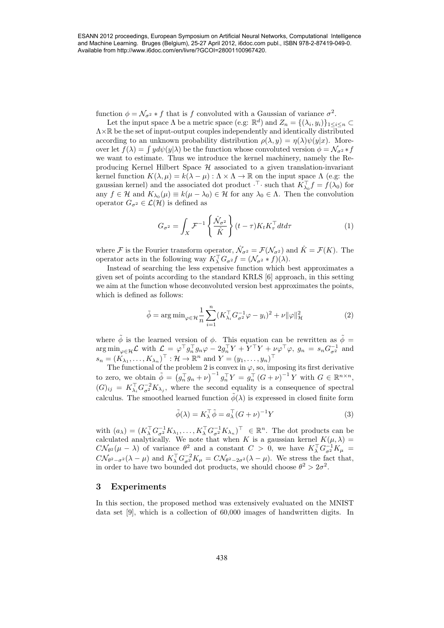and Machine Learning. Bruges (Belgium), 25-27 April 2012, i6doc.com publ., ISBN 978-2-87419-049-0. Available from http://www.i6doc.com/en/livre/?GCOI=28001100967420.

function  $\phi = \mathcal{N}_{\sigma^2} * f$  that is f convoluted with a Gaussian of variance  $\sigma^2$ .

Let the input space  $\Lambda$  be a metric space (e.g:  $\mathbb{R}^d$ ) and  $Z_n = \{(\lambda_i, y_i)\}_{1 \leq i \leq n} \subset$ Λ×R be the set of input-output couples independently and identically distributed according to an unknown probability distribution  $\rho(\lambda, y) = \eta(\lambda)\psi(y|x)$ . Moreover let  $f(\lambda) = \int y d\psi(y|\lambda)$  be the function whose convoluted version  $\phi = \mathcal{N}_{\sigma^2} * f$ we want to estimate. Thus we introduce the kernel machinery, namely the Reproducing Kernel Hilbert Space  $H$  associated to a given translation-invariant kernel function  $K(\lambda, \mu) = k(\lambda - \mu) : \Lambda \times \Lambda \to \mathbb{R}$  on the input space  $\Lambda$  (e.g: the gaussian kernel) and the associated dot product  $\cdot^{\top}$  such that  $K_{\lambda_0}^{\top} f = f(\lambda_0)$  for any  $f \in \mathcal{H}$  and  $K_{\lambda_0}(\mu) \equiv k(\mu - \lambda_0) \in \mathcal{H}$  for any  $\lambda_0 \in \Lambda$ . Then the convolution operator  $G_{\sigma^2} \in \mathcal{L}(\mathcal{H})$  is defined as ESAN 2012 proceedings, European Symposium on Milala Neural Networks, Computational Networks, Computational Networks, Computational Networks, Computational Networks, Computational Networks, Computational Networks, Computat

$$
G_{\sigma^2} = \int_X \mathcal{F}^{-1} \left\{ \frac{\hat{\mathcal{N}}_{\sigma^2}}{\hat{K}} \right\} (t - \tau) K_t K_\tau^\top dt d\tau \tag{1}
$$

where F is the Fourier transform operator,  $\hat{\mathcal{N}}_{\sigma^2} = \mathcal{F}(\mathcal{N}_{\sigma^2})$  and  $\hat{K} = \mathcal{F}(K)$ . The operator acts in the following way  $K_{\lambda}^{\top} G_{\sigma^2} f = (\mathcal{N}_{\sigma^2} * f)(\lambda).$ 

Instead of searching the less expensive function which best approximates a given set of points according to the standard KRLS [6] approach, in this setting we aim at the function whose deconvoluted version best approximates the points, which is defined as follows:

$$
\tilde{\phi} = \arg \min_{\varphi \in \mathcal{H}} \frac{1}{n} \sum_{i=1}^{n} (K_{\lambda_i}^{\top} G_{\sigma^2}^{-1} \varphi - y_i)^2 + \nu \| \varphi \|_{\mathcal{H}}^2
$$
\n(2)

where  $\tilde{\phi}$  is the learned version of  $\phi$ . This equation can be rewritten as  $\tilde{\phi} =$  $\arg\min_{\varphi\in\mathcal{H}}\mathcal{L}$  with  $\mathcal{L} = \varphi^{\top}g_{n}^{\top}g_{n}\varphi - 2g_{n}^{\top}Y + Y^{\top}Y + \nu\varphi^{\top}\varphi$ ,  $g_{n} = s_{n}G_{\sigma^2}^{-1}$  and  $s_n = (K_{\lambda_1}, \ldots, K_{\lambda_n})^\top : \mathcal{H} \to \mathbb{R}^n$  and  $Y = (y_1, \ldots, y_n)^\top$ 

The functional of the problem 2 is convex in  $\varphi$ , so, imposing its first derivative to zero, we obtain  $\tilde{\phi} = (g_n^{\top} g_n + \nu)^{-1} g_n^{\top} Y = g_n^{\top} (G + \nu)^{-1} Y$  with  $G \in \mathbb{R}^{n \times n}$ ,  $(G)_{ij} = K_{\lambda_i}^\top G_{\sigma^2}^{-2} K_{\lambda_j}$ , where the second equality is a consequence of spectral calculus. The smoothed learned function  $\tilde{\phi}(\lambda)$  is expressed in closed finite form

$$
\tilde{\phi}(\lambda) = K_{\lambda}^{\top} \tilde{\phi} = a_{\lambda}^{\top} (G + \nu)^{-1} Y \tag{3}
$$

with  $(a_\lambda) = (K_\lambda^\top G_{\sigma^2}^{-1} K_{\lambda_1}, \dots, K_\lambda^\top G_{\sigma^2}^{-1} K_{\lambda_n})^\top \in \mathbb{R}^n$ . The dot products can be calculated analytically. We note that when K is a gaussian kernel  $K(\mu, \lambda)$  =  $C\mathcal{N}_{\theta^2}(\mu-\lambda)$  of variance  $\theta^2$  and a constant  $C > 0$ , we have  $K_{\lambda}^{\top}G_{\sigma^2}^{-1}K_{\mu} =$  $C\mathcal{N}_{\theta^2-\sigma^2}(\lambda-\mu)$  and  $K_{\lambda}^{\top}G_{\sigma^2}^{-2}K_{\mu}=C\mathcal{N}_{\theta^2-2\sigma^2}(\lambda-\mu)$ . We stress the fact that, in order to have two bounded dot products, we should choose  $\theta^2 > 2\sigma^2$ .

## 3 Experiments

In this section, the proposed method was extensively evaluated on the MNIST data set [9], which is a collection of 60,000 images of handwritten digits. In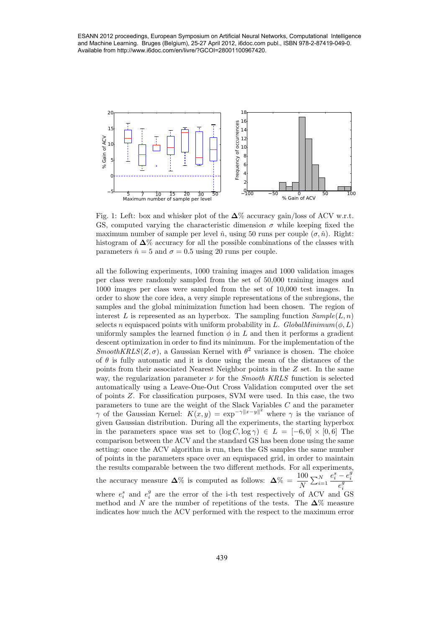and Machine Learning. Bruges (Belgium), 25-27 April 2012, i6doc.com publ., ISBN 978-2-87419-049-0. Available from http://www.i6doc.com/en/livre/?GCOI=28001100967420.



Fig. 1: Left: box and whisker plot of the  $\Delta\%$  accuracy gain/loss of ACV w.r.t. GS, computed varying the characteristic dimension  $\sigma$  while keeping fixed the maximum number of sample per level  $\hat{n}$ , using 50 runs per couple  $(\sigma, \hat{n})$ . Right: histogram of  $\Delta\%$  accuracy for all the possible combinations of the classes with parameters  $\hat{n} = 5$  and  $\sigma = 0.5$  using 20 runs per couple.

all the following experiments, 1000 training images and 1000 validation images per class were randomly sampled from the set of 50,000 training images and 1000 images per class were sampled from the set of 10,000 test images. In order to show the core idea, a very simple representations of the subregions, the samples and the global minimization function had been chosen. The region of interest L is represented as an hyperbox. The sampling function  $Sample(L, n)$ selects n equispaced points with uniform probability in L.  $GlobalMinimum(\phi, L)$ uniformly samples the learned function  $\phi$  in L and then it performs a gradient descent optimization in order to find its minimum. For the implementation of the  $SmoothKRLS(Z, \sigma)$ , a Gaussian Kernel with  $\theta^2$  variance is chosen. The choice of  $\theta$  is fully automatic and it is done using the mean of the distances of the points from their associated Nearest Neighbor points in the Z set. In the same way, the regularization parameter  $\nu$  for the *Smooth KRLS* function is selected automatically using a Leave-One-Out Cross Validation computed over the set of points Z. For classification purposes, SVM were used. In this case, the two parameters to tune are the weight of the Slack Variables C and the parameter  $\gamma$  of the Gaussian Kernel:  $K(x, y) = \exp^{-\gamma ||x-y||^2}$  where  $\gamma$  is the variance of given Gaussian distribution. During all the experiments, the starting hyperbox in the parameters space was set to  $(\log C, \log \gamma) \in L = [-6, 0] \times [0, 6]$  The comparison between the ACV and the standard GS has been done using the same setting: once the ACV algorithm is run, then the GS samples the same number of points in the parameters space over an equispaced grid, in order to maintain the results comparable between the two different methods. For all experiments, the accuracy measure  $\Delta\%$  is computed as follows:  $\Delta\% = \frac{100}{N} \sum_{i=1}^{N}$  $e_i^s - e_i^g$  $\overline{e_i^g}$ where  $e_i^s$  and  $e_i^g$  are the error of the i-th test respectively of ACV and GS method and N are the number of repetitions of the tests. The  $\Delta\%$  measure indicates how much the ACV performed with the respect to the maximum error 639 Estate the computer of the computation of the computation of the computation of the computation of the computation of the computation of the computation of the computational Networks and  $\frac{1}{2}$  is a second of the c